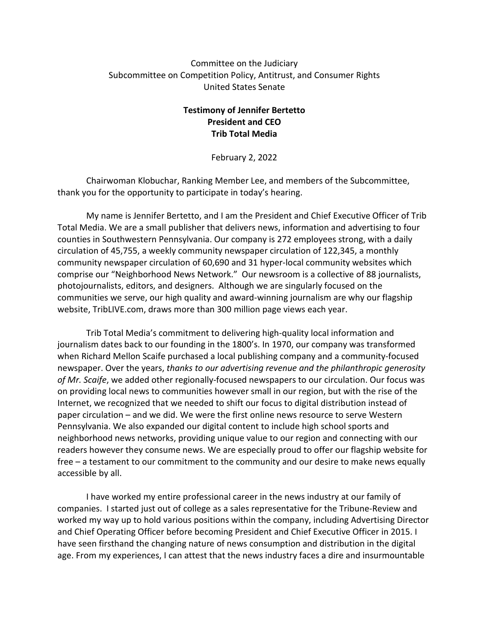### Committee on the Judiciary Subcommittee on Competition Policy, Antitrust, and Consumer Rights United States Senate

## **Testimony of Jennifer Bertetto President and CEO Trib Total Media**

February 2, 2022

Chairwoman Klobuchar, Ranking Member Lee, and members of the Subcommittee, thank you for the opportunity to participate in today's hearing.

My name is Jennifer Bertetto, and I am the President and Chief Executive Officer of Trib Total Media. We are a small publisher that delivers news, information and advertising to four counties in Southwestern Pennsylvania. Our company is 272 employees strong, with a daily circulation of 45,755, a weekly community newspaper circulation of 122,345, a monthly community newspaper circulation of 60,690 and 31 hyper-local community websites which comprise our "Neighborhood News Network." Our newsroom is a collective of 88 journalists, photojournalists, editors, and designers. Although we are singularly focused on the communities we serve, our high quality and award-winning journalism are why our flagship website, TribLIVE.com, draws more than 300 million page views each year.

Trib Total Media's commitment to delivering high-quality local information and journalism dates back to our founding in the 1800's. In 1970, our company was transformed when Richard Mellon Scaife purchased a local publishing company and a community-focused newspaper. Over the years, *thanks to our advertising revenue and the philanthropic generosity of Mr. Scaife*, we added other regionally-focused newspapers to our circulation. Our focus was on providing local news to communities however small in our region, but with the rise of the Internet, we recognized that we needed to shift our focus to digital distribution instead of paper circulation – and we did. We were the first online news resource to serve Western Pennsylvania. We also expanded our digital content to include high school sports and neighborhood news networks, providing unique value to our region and connecting with our readers however they consume news. We are especially proud to offer our flagship website for free – a testament to our commitment to the community and our desire to make news equally accessible by all.

I have worked my entire professional career in the news industry at our family of companies. I started just out of college as a sales representative for the Tribune-Review and worked my way up to hold various positions within the company, including Advertising Director and Chief Operating Officer before becoming President and Chief Executive Officer in 2015. I have seen firsthand the changing nature of news consumption and distribution in the digital age. From my experiences, I can attest that the news industry faces a dire and insurmountable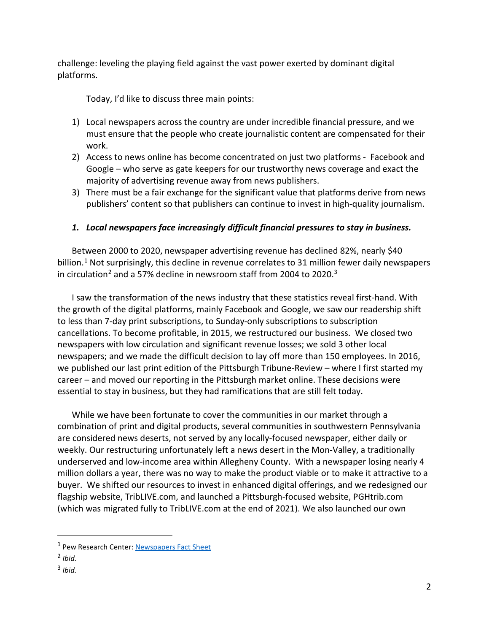challenge: leveling the playing field against the vast power exerted by dominant digital platforms.

Today, I'd like to discuss three main points:

- 1) Local newspapers across the country are under incredible financial pressure, and we must ensure that the people who create journalistic content are compensated for their work.
- 2) Access to news online has become concentrated on just two platforms Facebook and Google – who serve as gate keepers for our trustworthy news coverage and exact the majority of advertising revenue away from news publishers.
- 3) There must be a fair exchange for the significant value that platforms derive from news publishers' content so that publishers can continue to invest in high-quality journalism.

# *1. Local newspapers face increasingly difficult financial pressures to stay in business.*

Between 2000 to 2020, newspaper advertising revenue has declined 82%, nearly \$40 billion.<sup>1</sup> Not surprisingly, this decline in revenue correlates to 31 million fewer daily newspapers in circulation<sup>[2](#page-1-1)</sup> and a 57% decline in newsroom staff from 2004 to 2020.<sup>[3](#page-1-2)</sup>

I saw the transformation of the news industry that these statistics reveal first-hand. With the growth of the digital platforms, mainly Facebook and Google, we saw our readership shift to less than 7-day print subscriptions, to Sunday-only subscriptions to subscription cancellations. To become profitable, in 2015, we restructured our business. We closed two newspapers with low circulation and significant revenue losses; we sold 3 other local newspapers; and we made the difficult decision to lay off more than 150 employees. In 2016, we published our last print edition of the Pittsburgh Tribune-Review – where I first started my career – and moved our reporting in the Pittsburgh market online. These decisions were essential to stay in business, but they had ramifications that are still felt today.

While we have been fortunate to cover the communities in our market through a combination of print and digital products, several communities in southwestern Pennsylvania are considered news deserts, not served by any locally-focused newspaper, either daily or weekly. Our restructuring unfortunately left a news desert in the Mon-Valley, a traditionally underserved and low-income area within Allegheny County. With a newspaper losing nearly 4 million dollars a year, there was no way to make the product viable or to make it attractive to a buyer. We shifted our resources to invest in enhanced digital offerings, and we redesigned our flagship website, TribLIVE.com, and launched a Pittsburgh-focused website, PGHtrib.com (which was migrated fully to TribLIVE.com at the end of 2021). We also launched our own

<span id="page-1-2"></span><sup>3</sup> *Ibid.*

<span id="page-1-0"></span> <sup>1</sup> Pew Research Center[: Newspapers Fact Sheet](https://www.pewresearch.org/journalism/fact-sheet/newspapers/)

<span id="page-1-1"></span><sup>2</sup> *Ibid.*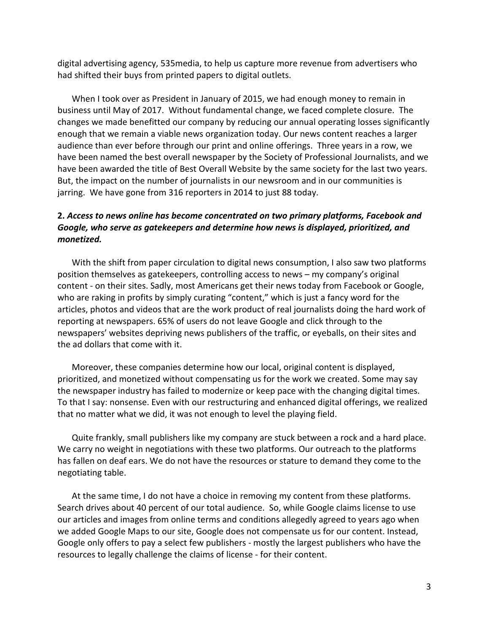digital advertising agency, 535media, to help us capture more revenue from advertisers who had shifted their buys from printed papers to digital outlets.

When I took over as President in January of 2015, we had enough money to remain in business until May of 2017. Without fundamental change, we faced complete closure. The changes we made benefitted our company by reducing our annual operating losses significantly enough that we remain a viable news organization today. Our news content reaches a larger audience than ever before through our print and online offerings. Three years in a row, we have been named the best overall newspaper by the Society of Professional Journalists, and we have been awarded the title of Best Overall Website by the same society for the last two years. But, the impact on the number of journalists in our newsroom and in our communities is jarring. We have gone from 316 reporters in 2014 to just 88 today.

### **2.** *Access to news online has become concentrated on two primary platforms, Facebook and Google, who serve as gatekeepers and determine how news is displayed, prioritized, and monetized.*

With the shift from paper circulation to digital news consumption, I also saw two platforms position themselves as gatekeepers, controlling access to news – my company's original content - on their sites. Sadly, most Americans get their news today from Facebook or Google, who are raking in profits by simply curating "content," which is just a fancy word for the articles, photos and videos that are the work product of real journalists doing the hard work of reporting at newspapers. 65% of users do not leave Google and click through to the newspapers' websites depriving news publishers of the traffic, or eyeballs, on their sites and the ad dollars that come with it.

Moreover, these companies determine how our local, original content is displayed, prioritized, and monetized without compensating us for the work we created. Some may say the newspaper industry has failed to modernize or keep pace with the changing digital times. To that I say: nonsense. Even with our restructuring and enhanced digital offerings, we realized that no matter what we did, it was not enough to level the playing field.

Quite frankly, small publishers like my company are stuck between a rock and a hard place. We carry no weight in negotiations with these two platforms. Our outreach to the platforms has fallen on deaf ears. We do not have the resources or stature to demand they come to the negotiating table.

At the same time, I do not have a choice in removing my content from these platforms. Search drives about 40 percent of our total audience. So, while Google claims license to use our articles and images from online terms and conditions allegedly agreed to years ago when we added Google Maps to our site, Google does not compensate us for our content. Instead, Google only offers to pay a select few publishers - mostly the largest publishers who have the resources to legally challenge the claims of license - for their content.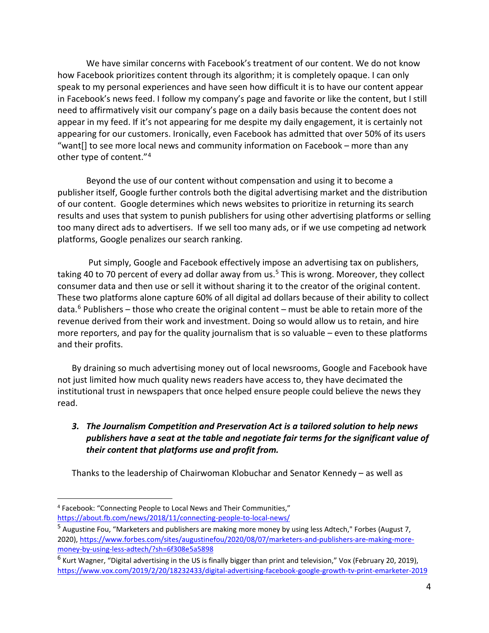We have similar concerns with Facebook's treatment of our content. We do not know how Facebook prioritizes content through its algorithm; it is completely opaque. I can only speak to my personal experiences and have seen how difficult it is to have our content appear in Facebook's news feed. I follow my company's page and favorite or like the content, but I still need to affirmatively visit our company's page on a daily basis because the content does not appear in my feed. If it's not appearing for me despite my daily engagement, it is certainly not appearing for our customers. Ironically, even Facebook has admitted that over 50% of its users "want[] to see more local news and community information on Facebook – more than any other type of content."[4](#page-3-0)

Beyond the use of our content without compensation and using it to become a publisher itself, Google further controls both the digital advertising market and the distribution of our content. Google determines which news websites to prioritize in returning its search results and uses that system to punish publishers for using other advertising platforms or selling too many direct ads to advertisers. If we sell too many ads, or if we use competing ad network platforms, Google penalizes our search ranking.

Put simply, Google and Facebook effectively impose an advertising tax on publishers, taking 40 to 70 percent of every ad dollar away from us.<sup>[5](#page-3-1)</sup> This is wrong. Moreover, they collect consumer data and then use or sell it without sharing it to the creator of the original content. These two platforms alone capture 60% of all digital ad dollars because of their ability to collect data. $6$  Publishers – those who create the original content – must be able to retain more of the revenue derived from their work and investment. Doing so would allow us to retain, and hire more reporters, and pay for the quality journalism that is so valuable – even to these platforms and their profits.

By draining so much advertising money out of local newsrooms, Google and Facebook have not just limited how much quality news readers have access to, they have decimated the institutional trust in newspapers that once helped ensure people could believe the news they read.

# *3. The Journalism Competition and Preservation Act is a tailored solution to help news publishers have a seat at the table and negotiate fair terms for the significant value of their content that platforms use and profit from.*

Thanks to the leadership of Chairwoman Klobuchar and Senator Kennedy – as well as

<span id="page-3-0"></span> <sup>4</sup> Facebook: "Connecting People to Local News and Their Communities," <https://about.fb.com/news/2018/11/connecting-people-to-local-news/>

<span id="page-3-1"></span><sup>5</sup> Augustine Fou, "Marketers and publishers are making more money by using less Adtech," Forbes (August 7, 2020), [https://www.forbes.com/sites/augustinefou/2020/08/07/marketers-and-publishers-are-making-more](https://www.forbes.com/sites/augustinefou/2020/08/07/marketers-and-publishers-are-making-more-money-by-using-less-adtech/?sh=6f308e5a5898)[money-by-using-less-adtech/?sh=6f308e5a5898](https://www.forbes.com/sites/augustinefou/2020/08/07/marketers-and-publishers-are-making-more-money-by-using-less-adtech/?sh=6f308e5a5898)

<span id="page-3-2"></span><sup>6</sup> Kurt Wagner, "Digital advertising in the US is finally bigger than print and television," Vox (February 20, 2019), <https://www.vox.com/2019/2/20/18232433/digital-advertising-facebook-google-growth-tv-print-emarketer-2019>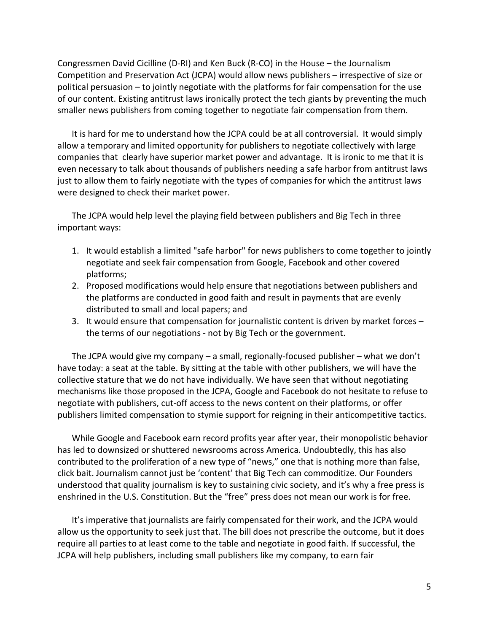Congressmen David Cicilline (D-RI) and Ken Buck (R-CO) in the House – the Journalism Competition and Preservation Act (JCPA) would allow news publishers – irrespective of size or political persuasion – to jointly negotiate with the platforms for fair compensation for the use of our content. Existing antitrust laws ironically protect the tech giants by preventing the much smaller news publishers from coming together to negotiate fair compensation from them.

It is hard for me to understand how the JCPA could be at all controversial. It would simply allow a temporary and limited opportunity for publishers to negotiate collectively with large companies that clearly have superior market power and advantage. It is ironic to me that it is even necessary to talk about thousands of publishers needing a safe harbor from antitrust laws just to allow them to fairly negotiate with the types of companies for which the antitrust laws were designed to check their market power.

The JCPA would help level the playing field between publishers and Big Tech in three important ways:

- 1. It would establish a limited "safe harbor" for news publishers to come together to jointly negotiate and seek fair compensation from Google, Facebook and other covered platforms;
- 2. Proposed modifications would help ensure that negotiations between publishers and the platforms are conducted in good faith and result in payments that are evenly distributed to small and local papers; and
- 3. It would ensure that compensation for journalistic content is driven by market forces the terms of our negotiations - not by Big Tech or the government.

The JCPA would give my company – a small, regionally-focused publisher – what we don't have today: a seat at the table. By sitting at the table with other publishers, we will have the collective stature that we do not have individually. We have seen that without negotiating mechanisms like those proposed in the JCPA, Google and Facebook do not hesitate to refuse to negotiate with publishers, cut-off access to the news content on their platforms, or offer publishers limited compensation to stymie support for reigning in their anticompetitive tactics.

While Google and Facebook earn record profits year after year, their monopolistic behavior has led to downsized or shuttered newsrooms across America. Undoubtedly, this has also contributed to the proliferation of a new type of "news," one that is nothing more than false, click bait. Journalism cannot just be 'content' that Big Tech can commoditize. Our Founders understood that quality journalism is key to sustaining civic society, and it's why a free press is enshrined in the U.S. Constitution. But the "free" press does not mean our work is for free.

It's imperative that journalists are fairly compensated for their work, and the JCPA would allow us the opportunity to seek just that. The bill does not prescribe the outcome, but it does require all parties to at least come to the table and negotiate in good faith. If successful, the JCPA will help publishers, including small publishers like my company, to earn fair